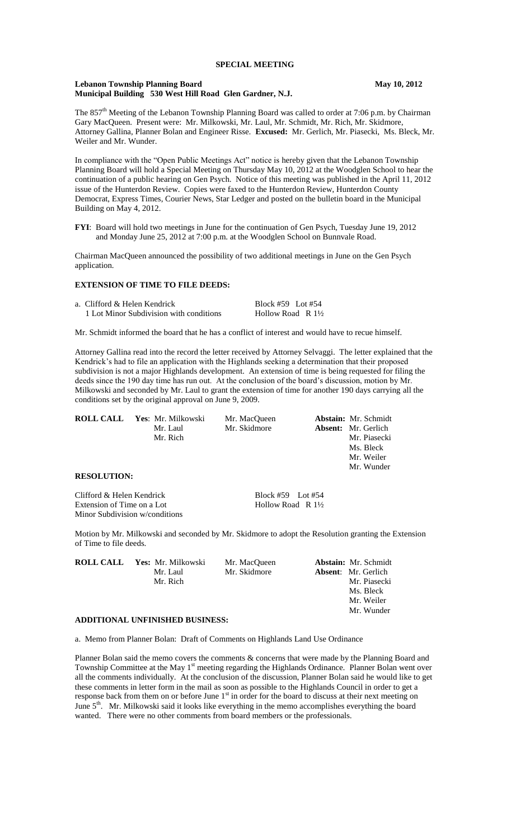# **SPECIAL MEETING**

### **Lebanon Township Planning Board May 10, 2012 Municipal Building 530 West Hill Road Glen Gardner, N.J.**

The 857<sup>th</sup> Meeting of the Lebanon Township Planning Board was called to order at 7:06 p.m. by Chairman Gary MacQueen. Present were: Mr. Milkowski, Mr. Laul, Mr. Schmidt, Mr. Rich, Mr. Skidmore, Attorney Gallina, Planner Bolan and Engineer Risse. **Excused:** Mr. Gerlich, Mr. Piasecki, Ms. Bleck, Mr. Weiler and Mr. Wunder.

In compliance with the "Open Public Meetings Act" notice is hereby given that the Lebanon Township Planning Board will hold a Special Meeting on Thursday May 10, 2012 at the Woodglen School to hear the continuation of a public hearing on Gen Psych. Notice of this meeting was published in the April 11, 2012 issue of the Hunterdon Review. Copies were faxed to the Hunterdon Review, Hunterdon County Democrat, Express Times, Courier News, Star Ledger and posted on the bulletin board in the Municipal Building on May 4, 2012.

**FYI**: Board will hold two meetings in June for the continuation of Gen Psych, Tuesday June 19, 2012 and Monday June 25, 2012 at 7:00 p.m. at the Woodglen School on Bunnvale Road.

Chairman MacQueen announced the possibility of two additional meetings in June on the Gen Psych application.

# **EXTENSION OF TIME TO FILE DEEDS:**

| a. Clifford & Helen Kendrick            | Block #59 Lot #54            |
|-----------------------------------------|------------------------------|
| 1 Lot Minor Subdivision with conditions | Hollow Road R $1\frac{1}{2}$ |

Mr. Schmidt informed the board that he has a conflict of interest and would have to recue himself.

Attorney Gallina read into the record the letter received by Attorney Selvaggi. The letter explained that the Kendrick's had to file an application with the Highlands seeking a determination that their proposed subdivision is not a major Highlands development. An extension of time is being requested for filing the deeds since the 190 day time has run out. At the conclusion of the board's discussion, motion by Mr. Milkowski and seconded by Mr. Laul to grant the extension of time for another 190 days carrying all the conditions set by the original approval on June 9, 2009.

| <b>ROLL CALL</b> | Yes: Mr. Milkowski | Mr. MacOueen | <b>Abstain:</b> Mr. Schmidt |
|------------------|--------------------|--------------|-----------------------------|
|                  | Mr. Laul           | Mr. Skidmore | <b>Absent:</b> Mr. Gerlich  |
|                  | Mr. Rich           |              | Mr. Piasecki                |
|                  |                    |              | Ms. Bleck                   |
|                  |                    |              | Mr. Weiler                  |

# **RESOLUTION:**

Clifford & Helen Kendrick Block #59 Lot #54 Extension of Time on a Lot Hollow Road R  $1\frac{1}{2}$ Minor Subdivision w/conditions

Mr. Wunder

Motion by Mr. Milkowski and seconded by Mr. Skidmore to adopt the Resolution granting the Extension of Time to file deeds.

| <b>ROLL CALL</b> Yes: Mr. Milkowski | Mr. MacOueen | <b>Abstain:</b> Mr. Schmidt |
|-------------------------------------|--------------|-----------------------------|
| Mr. Laul                            | Mr. Skidmore | <b>Absent:</b> Mr. Gerlich  |
| Mr. Rich                            |              | Mr. Piasecki                |
|                                     |              | Ms. Bleck                   |
|                                     |              | Mr. Weiler                  |
|                                     |              | Mr. Wunder                  |
| ADDITIONAL UNFINISHED BUSINESS:     |              |                             |

a. Memo from Planner Bolan: Draft of Comments on Highlands Land Use Ordinance

Planner Bolan said the memo covers the comments & concerns that were made by the Planning Board and Township Committee at the May 1<sup>st</sup> meeting regarding the Highlands Ordinance. Planner Bolan went over all the comments individually. At the conclusion of the discussion, Planner Bolan said he would like to get these comments in letter form in the mail as soon as possible to the Highlands Council in order to get a response back from them on or before June  $1<sup>st</sup>$  in order for the board to discuss at their next meeting on June  $5<sup>th</sup>$ . Mr. Milkowski said it looks like everything in the memo accomplishes everything the board wanted. There were no other comments from board members or the professionals.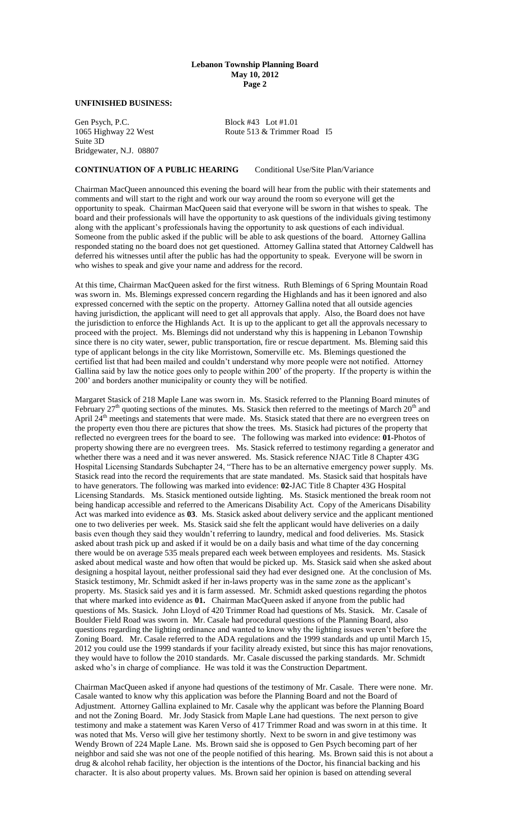# **Lebanon Township Planning Board May 10, 2012 Page 2**

#### **UNFINISHED BUSINESS:**

Gen Psych, P.C.<br>1065 Highway 22 West Route 513 & Trimmer Suite 3D Bridgewater, N.J. 08807

Route 513 & Trimmer Road I5

### **CONTINUATION OF A PUBLIC HEARING** Conditional Use/Site Plan/Variance

Chairman MacQueen announced this evening the board will hear from the public with their statements and comments and will start to the right and work our way around the room so everyone will get the opportunity to speak. Chairman MacQueen said that everyone will be sworn in that wishes to speak. The board and their professionals will have the opportunity to ask questions of the individuals giving testimony along with the applicant's professionals having the opportunity to ask questions of each individual. Someone from the public asked if the public will be able to ask questions of the board. Attorney Gallina responded stating no the board does not get questioned. Attorney Gallina stated that Attorney Caldwell has deferred his witnesses until after the public has had the opportunity to speak. Everyone will be sworn in who wishes to speak and give your name and address for the record.

At this time, Chairman MacQueen asked for the first witness. Ruth Blemings of 6 Spring Mountain Road was sworn in. Ms. Blemings expressed concern regarding the Highlands and has it been ignored and also expressed concerned with the septic on the property. Attorney Gallina noted that all outside agencies having jurisdiction, the applicant will need to get all approvals that apply. Also, the Board does not have the jurisdiction to enforce the Highlands Act. It is up to the applicant to get all the approvals necessary to proceed with the project. Ms. Blemings did not understand why this is happening in Lebanon Township since there is no city water, sewer, public transportation, fire or rescue department. Ms. Bleming said this type of applicant belongs in the city like Morristown, Somerville etc. Ms. Blemings questioned the certified list that had been mailed and couldn't understand why more people were not notified. Attorney Gallina said by law the notice goes only to people within 200' of the property. If the property is within the 200' and borders another municipality or county they will be notified.

Margaret Stasick of 218 Maple Lane was sworn in. Ms. Stasick referred to the Planning Board minutes of February 27<sup>th</sup> quoting sections of the minutes. Ms. Stasick then referred to the meetings of March 20<sup>th</sup> and April 24<sup>th</sup> meetings and statements that were made. Ms. Stasick stated that there are no evergreen trees on the property even thou there are pictures that show the trees. Ms. Stasick had pictures of the property that reflected no evergreen trees for the board to see. The following was marked into evidence: **01**-Photos of property showing there are no evergreen trees. Ms. Stasick referred to testimony regarding a generator and whether there was a need and it was never answered. Ms. Stasick reference NJAC Title 8 Chapter 43G Hospital Licensing Standards Subchapter 24, "There has to be an alternative emergency power supply. Ms. Stasick read into the record the requirements that are state mandated. Ms. Stasick said that hospitals have to have generators. The following was marked into evidence: **02-**JAC Title 8 Chapter 43G Hospital Licensing Standards. Ms. Stasick mentioned outside lighting. Ms. Stasick mentioned the break room not being handicap accessible and referred to the Americans Disability Act. Copy of the Americans Disability Act was marked into evidence as **03**. Ms. Stasick asked about delivery service and the applicant mentioned one to two deliveries per week. Ms. Stasick said she felt the applicant would have deliveries on a daily basis even though they said they wouldn't referring to laundry, medical and food deliveries. Ms. Stasick asked about trash pick up and asked if it would be on a daily basis and what time of the day concerning there would be on average 535 meals prepared each week between employees and residents. Ms. Stasick asked about medical waste and how often that would be picked up. Ms. Stasick said when she asked about designing a hospital layout, neither professional said they had ever designed one. At the conclusion of Ms. Stasick testimony, Mr. Schmidt asked if her in-laws property was in the same zone as the applicant's property. Ms. Stasick said yes and it is farm assessed. Mr. Schmidt asked questions regarding the photos that where marked into evidence as **01.** Chairman MacQueen asked if anyone from the public had questions of Ms. Stasick. John Lloyd of 420 Trimmer Road had questions of Ms. Stasick. Mr. Casale of Boulder Field Road was sworn in. Mr. Casale had procedural questions of the Planning Board, also questions regarding the lighting ordinance and wanted to know why the lighting issues weren't before the Zoning Board. Mr. Casale referred to the ADA regulations and the 1999 standards and up until March 15, 2012 you could use the 1999 standards if your facility already existed, but since this has major renovations, they would have to follow the 2010 standards. Mr. Casale discussed the parking standards. Mr. Schmidt asked who's in charge of compliance. He was told it was the Construction Department.

Chairman MacQueen asked if anyone had questions of the testimony of Mr. Casale. There were none. Mr. Casale wanted to know why this application was before the Planning Board and not the Board of Adjustment. Attorney Gallina explained to Mr. Casale why the applicant was before the Planning Board and not the Zoning Board. Mr. Jody Stasick from Maple Lane had questions. The next person to give testimony and make a statement was Karen Verso of 417 Trimmer Road and was sworn in at this time. It was noted that Ms. Verso will give her testimony shortly. Next to be sworn in and give testimony was Wendy Brown of 224 Maple Lane. Ms. Brown said she is opposed to Gen Psych becoming part of her neighbor and said she was not one of the people notified of this hearing. Ms. Brown said this is not about a drug & alcohol rehab facility, her objection is the intentions of the Doctor, his financial backing and his character. It is also about property values. Ms. Brown said her opinion is based on attending several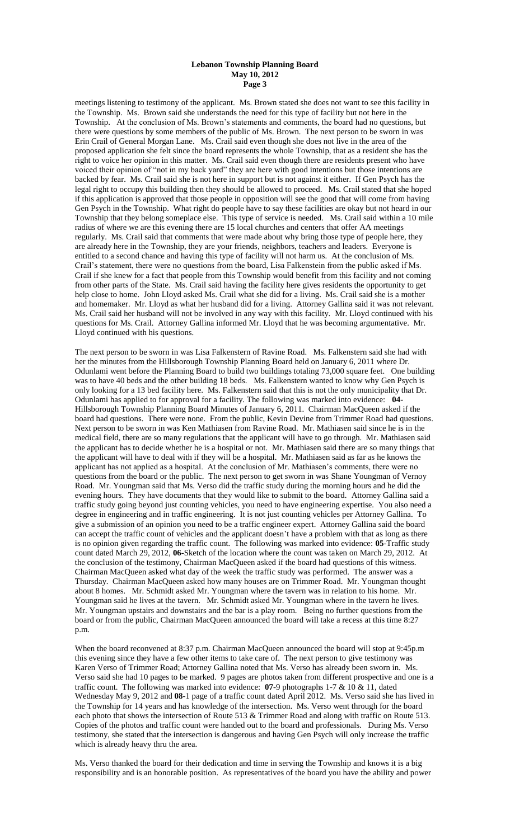# **Lebanon Township Planning Board May 10, 2012 Page 3**

meetings listening to testimony of the applicant. Ms. Brown stated she does not want to see this facility in the Township. Ms. Brown said she understands the need for this type of facility but not here in the Township. At the conclusion of Ms. Brown's statements and comments, the board had no questions, but there were questions by some members of the public of Ms. Brown. The next person to be sworn in was Erin Crail of General Morgan Lane. Ms. Crail said even though she does not live in the area of the proposed application she felt since the board represents the whole Township, that as a resident she has the right to voice her opinion in this matter. Ms. Crail said even though there are residents present who have voiced their opinion of "not in my back yard" they are here with good intentions but those intentions are backed by fear. Ms. Crail said she is not here in support but is not against it either. If Gen Psych has the legal right to occupy this building then they should be allowed to proceed. Ms. Crail stated that she hoped if this application is approved that those people in opposition will see the good that will come from having Gen Psych in the Township. What right do people have to say these facilities are okay but not heard in our Township that they belong someplace else. This type of service is needed. Ms. Crail said within a 10 mile radius of where we are this evening there are 15 local churches and centers that offer AA meetings regularly. Ms. Crail said that comments that were made about why bring those type of people here, they are already here in the Township, they are your friends, neighbors, teachers and leaders. Everyone is entitled to a second chance and having this type of facility will not harm us. At the conclusion of Ms. Crail's statement, there were no questions from the board, Lisa Falkenstein from the public asked if Ms. Crail if she knew for a fact that people from this Township would benefit from this facility and not coming from other parts of the State. Ms. Crail said having the facility here gives residents the opportunity to get help close to home. John Lloyd asked Ms. Crail what she did for a living. Ms. Crail said she is a mother and homemaker. Mr. Lloyd as what her husband did for a living. Attorney Gallina said it was not relevant. Ms. Crail said her husband will not be involved in any way with this facility. Mr. Lloyd continued with his questions for Ms. Crail. Attorney Gallina informed Mr. Lloyd that he was becoming argumentative. Mr. Lloyd continued with his questions.

The next person to be sworn in was Lisa Falkenstern of Ravine Road. Ms. Falkenstern said she had with her the minutes from the Hillsborough Township Planning Board held on January 6, 2011 where Dr. Odunlami went before the Planning Board to build two buildings totaling 73,000 square feet. One building was to have 40 beds and the other building 18 beds. Ms. Falkenstern wanted to know why Gen Psych is only looking for a 13 bed facility here. Ms. Falkenstern said that this is not the only municipality that Dr. Odunlami has applied to for approval for a facility. The following was marked into evidence: **04-** Hillsborough Township Planning Board Minutes of January 6, 2011. Chairman MacQueen asked if the board had questions. There were none. From the public, Kevin Devine from Trimmer Road had questions. Next person to be sworn in was Ken Mathiasen from Ravine Road. Mr. Mathiasen said since he is in the medical field, there are so many regulations that the applicant will have to go through. Mr. Mathiasen said the applicant has to decide whether he is a hospital or not. Mr. Mathiasen said there are so many things that the applicant will have to deal with if they will be a hospital. Mr. Mathiasen said as far as he knows the applicant has not applied as a hospital. At the conclusion of Mr. Mathiasen's comments, there were no questions from the board or the public. The next person to get sworn in was Shane Youngman of Vernoy Road. Mr. Youngman said that Ms. Verso did the traffic study during the morning hours and he did the evening hours. They have documents that they would like to submit to the board. Attorney Gallina said a traffic study going beyond just counting vehicles, you need to have engineering expertise. You also need a degree in engineering and in traffic engineering. It is not just counting vehicles per Attorney Gallina. To give a submission of an opinion you need to be a traffic engineer expert. Attorney Gallina said the board can accept the traffic count of vehicles and the applicant doesn't have a problem with that as long as there is no opinion given regarding the traffic count. The following was marked into evidence: **05**-Traffic study count dated March 29, 2012, **06-**Sketch of the location where the count was taken on March 29, 2012. At the conclusion of the testimony, Chairman MacQueen asked if the board had questions of this witness. Chairman MacQueen asked what day of the week the traffic study was performed. The answer was a Thursday. Chairman MacQueen asked how many houses are on Trimmer Road. Mr. Youngman thought about 8 homes. Mr. Schmidt asked Mr. Youngman where the tavern was in relation to his home. Mr. Youngman said he lives at the tavern. Mr. Schmidt asked Mr. Youngman where in the tavern he lives. Mr. Youngman upstairs and downstairs and the bar is a play room. Being no further questions from the board or from the public, Chairman MacQueen announced the board will take a recess at this time 8:27 p.m.

When the board reconvened at 8:37 p.m. Chairman MacQueen announced the board will stop at 9:45p.m this evening since they have a few other items to take care of. The next person to give testimony was Karen Verso of Trimmer Road; Attorney Gallina noted that Ms. Verso has already been sworn in. Ms. Verso said she had 10 pages to be marked. 9 pages are photos taken from different prospective and one is a traffic count. The following was marked into evidence: **07-**9 photographs 1-7 & 10 & 11, dated Wednesday May 9, 2012 and **08-**1 page of a traffic count dated April 2012. Ms. Verso said she has lived in the Township for 14 years and has knowledge of the intersection. Ms. Verso went through for the board each photo that shows the intersection of Route 513 & Trimmer Road and along with traffic on Route 513. Copies of the photos and traffic count were handed out to the board and professionals. During Ms. Verso testimony, she stated that the intersection is dangerous and having Gen Psych will only increase the traffic which is already heavy thru the area.

Ms. Verso thanked the board for their dedication and time in serving the Township and knows it is a big responsibility and is an honorable position. As representatives of the board you have the ability and power